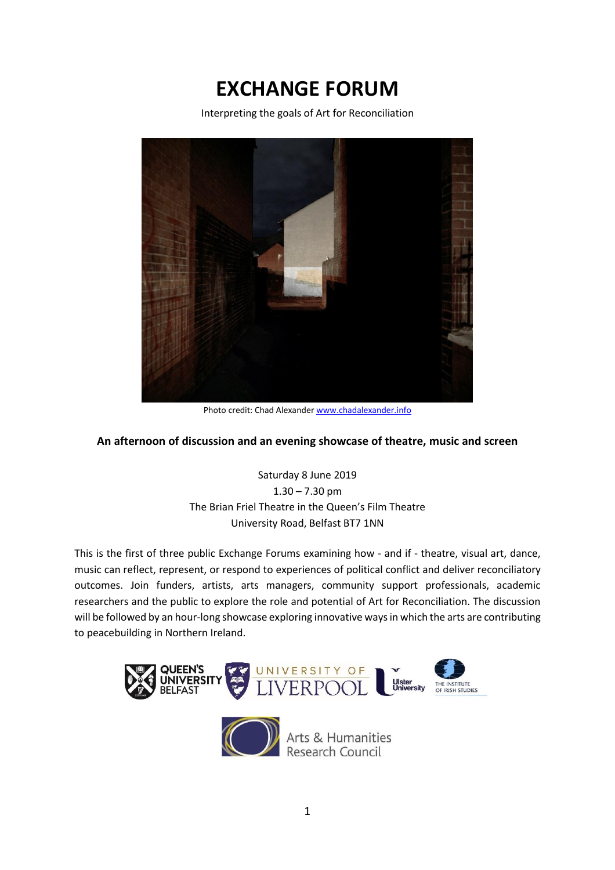# **EXCHANGE FORUM**

Interpreting the goals of Art for Reconciliation



Photo credit: Chad Alexande[r www.chadalexander.info](http://chadalexander.info/)

#### **An afternoon of discussion and an evening showcase of theatre, music and screen**

Saturday 8 June 2019  $1.30 - 7.30$  pm The Brian Friel Theatre in the Queen's Film Theatre University Road, Belfast BT7 1NN

This is the first of three public Exchange Forums examining how - and if - theatre, visual art, dance, music can reflect, represent, or respond to experiences of political conflict and deliver reconciliatory outcomes. Join funders, artists, arts managers, community support professionals, academic researchers and the public to explore the role and potential of Art for Reconciliation. The discussion will be followed by an hour-long showcase exploring innovative ways in which the arts are contributing to peacebuilding in Northern Ireland.





Arts & Humanities<br>Research Council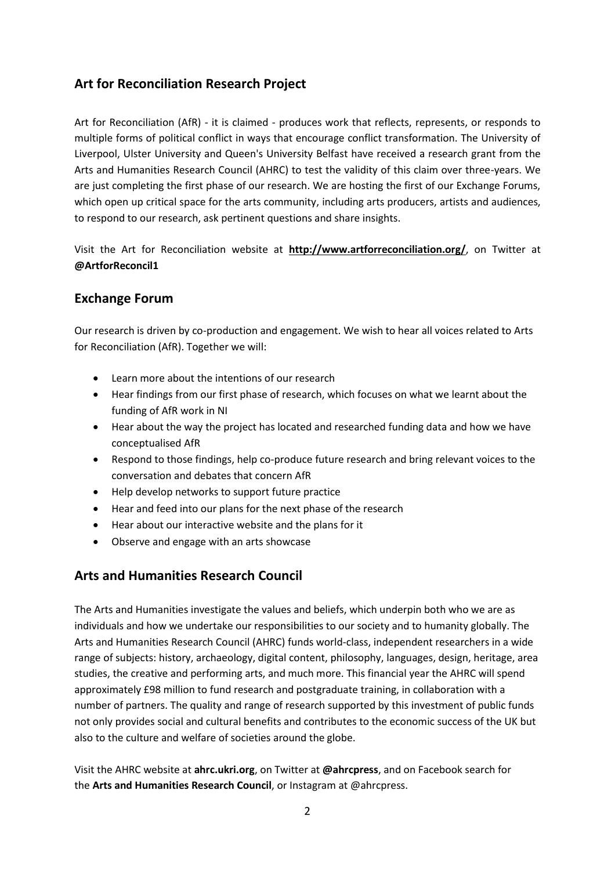### **Art for Reconciliation Research Project**

Art for Reconciliation (AfR) - it is claimed - produces work that reflects, represents, or responds to multiple forms of political conflict in ways that encourage conflict transformation. The University of Liverpool, Ulster University and Queen's University Belfast have received a research grant from the Arts and Humanities Research Council (AHRC) to test the validity of this claim over three-years. We are just completing the first phase of our research. We are hosting the first of our Exchange Forums, which open up critical space for the arts community, including arts producers, artists and audiences, to respond to our research, ask pertinent questions and share insights.

Visit the Art for Reconciliation website at **<http://www.artforreconciliation.org/>**, on Twitter at **[@ArtforReconcil1](https://twitter.com/ArtforReconcil1)**

### **Exchange Forum**

Our research is driven by co-production and engagement. We wish to hear all voices related to Arts for Reconciliation (AfR). Together we will:

- Learn more about the intentions of our research
- Hear findings from our first phase of research, which focuses on what we learnt about the funding of AfR work in NI
- Hear about the way the project has located and researched funding data and how we have conceptualised AfR
- Respond to those findings, help co-produce future research and bring relevant voices to the conversation and debates that concern AfR
- Help develop networks to support future practice
- Hear and feed into our plans for the next phase of the research
- Hear about our interactive website and the plans for it
- Observe and engage with an arts showcase

### **Arts and Humanities Research Council**

The Arts and Humanities investigate the values and beliefs, which underpin both who we are as individuals and how we undertake our responsibilities to our society and to humanity globally. The Arts and Humanities Research Council (AHRC) funds world-class, independent researchers in a wide range of subjects: history, archaeology, digital content, philosophy, languages, design, heritage, area studies, the creative and performing arts, and much more. This financial year the AHRC will spend approximately £98 million to fund research and postgraduate training, in collaboration with a number of partners. The quality and range of research supported by this investment of public funds not only provides social and cultural benefits and contributes to the economic success of the UK but also to the culture and welfare of societies around the globe.

Visit the AHRC website at **[ahrc.ukri.org](https://ahrc.ukri.org/)**, on Twitter at **[@ahrcpress](https://twitter.com/ahrcpress)**, and on Facebook search for the **[Arts and Humanities Research Council](https://www.facebook.com/artsandhumanitiesresearchcouncil)**, or Instagram at @ahrcpress.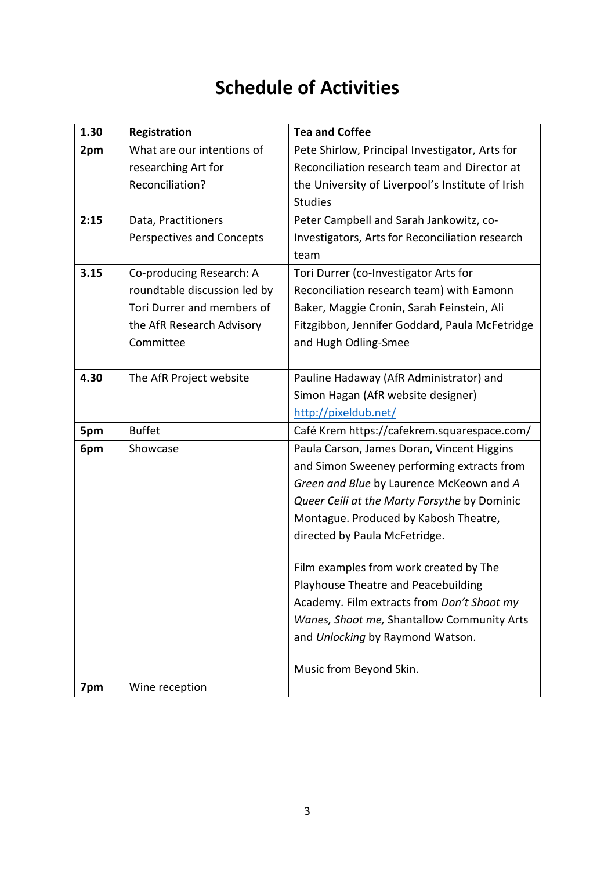# **Schedule of Activities**

| 1.30 | Registration                 | <b>Tea and Coffee</b>                             |
|------|------------------------------|---------------------------------------------------|
| 2pm  | What are our intentions of   | Pete Shirlow, Principal Investigator, Arts for    |
|      | researching Art for          | Reconciliation research team and Director at      |
|      | Reconciliation?              | the University of Liverpool's Institute of Irish  |
|      |                              | <b>Studies</b>                                    |
| 2:15 | Data, Practitioners          | Peter Campbell and Sarah Jankowitz, co-           |
|      | Perspectives and Concepts    | Investigators, Arts for Reconciliation research   |
|      |                              | team                                              |
| 3.15 | Co-producing Research: A     | Tori Durrer (co-Investigator Arts for             |
|      | roundtable discussion led by | Reconciliation research team) with Eamonn         |
|      | Tori Durrer and members of   | Baker, Maggie Cronin, Sarah Feinstein, Ali        |
|      | the AfR Research Advisory    | Fitzgibbon, Jennifer Goddard, Paula McFetridge    |
|      | Committee                    | and Hugh Odling-Smee                              |
|      |                              |                                                   |
| 4.30 | The AfR Project website      | Pauline Hadaway (AfR Administrator) and           |
|      |                              | Simon Hagan (AfR website designer)                |
|      |                              | http://pixeldub.net/                              |
| 5pm  | <b>Buffet</b>                | Café Krem https://cafekrem.squarespace.com/       |
| 6pm  | Showcase                     | Paula Carson, James Doran, Vincent Higgins        |
|      |                              | and Simon Sweeney performing extracts from        |
|      |                              | Green and Blue by Laurence McKeown and A          |
|      |                              | Queer Ceili at the Marty Forsythe by Dominic      |
|      |                              | Montague. Produced by Kabosh Theatre,             |
|      |                              | directed by Paula McFetridge.                     |
|      |                              |                                                   |
|      |                              | Film examples from work created by The            |
|      |                              | Playhouse Theatre and Peacebuilding               |
|      |                              | Academy. Film extracts from <i>Don't Shoot my</i> |
|      |                              | Wanes, Shoot me, Shantallow Community Arts        |
|      |                              | and Unlocking by Raymond Watson.                  |
|      |                              | Music from Beyond Skin.                           |
| 7pm  | Wine reception               |                                                   |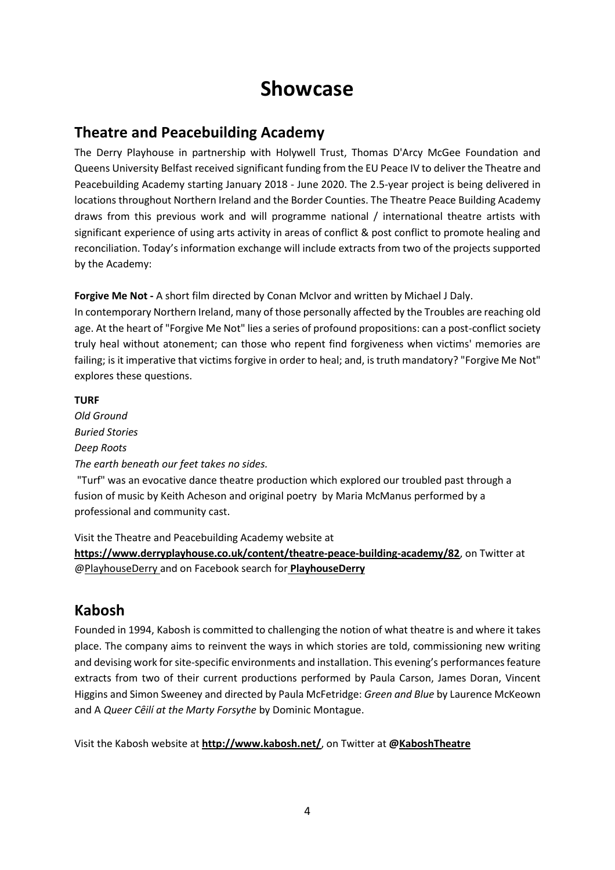## **Showcase**

## **Theatre and Peacebuilding Academy**

The Derry Playhouse in partnership with Holywell Trust, Thomas D'Arcy McGee Foundation and Queens University Belfast received significant funding from the EU Peace IV to deliver the Theatre and Peacebuilding Academy starting January 2018 - June 2020. The 2.5-year project is being delivered in locations throughout Northern Ireland and the Border Counties. The Theatre Peace Building Academy draws from this previous work and will programme national / international theatre artists with significant experience of using arts activity in areas of conflict & post conflict to promote healing and reconciliation. Today's information exchange will include extracts from two of the projects supported by the Academy:

**Forgive Me Not -** A short film directed by Conan McIvor and written by Michael J Daly.

In contemporary Northern Ireland, many of those personally affected by the Troubles are reaching old age. At the heart of "Forgive Me Not" lies a series of profound propositions: can a post-conflict society truly heal without atonement; can those who repent find forgiveness when victims' memories are failing; is it imperative that victims forgive in order to heal; and, is truth mandatory? "Forgive Me Not" explores these questions.

#### **TURF**

*Old Ground Buried Stories Deep Roots The earth beneath our feet takes no sides.*

"Turf" was an evocative dance theatre production which explored our troubled past through a fusion of music by Keith Acheson and original poetry by Maria McManus performed by a professional and community cast.

Visit the Theatre and Peacebuilding Academy website at

**<https://www.derryplayhouse.co.uk/content/theatre-peace-building-academy/82>**, on Twitter at [@PlayhouseDerry](https://twitter.com/PlayhouseDerry) and on Facebook search for **[PlayhouseDerry](https://www.facebook.com/playhousederry)**

## **Kabosh**

Founded in 1994, Kabosh is committed to challenging the notion of what theatre is and where it takes place. The company aims to reinvent the ways in which stories are told, commissioning new writing and devising work for site-specific environments and installation. This evening's performances feature extracts from two of their current productions performed by Paula Carson, James Doran, Vincent Higgins and Simon Sweeney and directed by Paula McFetridge: *Green and Blue* by Laurence McKeown and A *Queer Cȇilí at the Marty Forsythe* by Dominic Montague.

Visit the Kabosh website at **<http://www.kabosh.net/>**, on Twitter at **[@KaboshTheatre](https://twitter.com/KaboshTheatre)**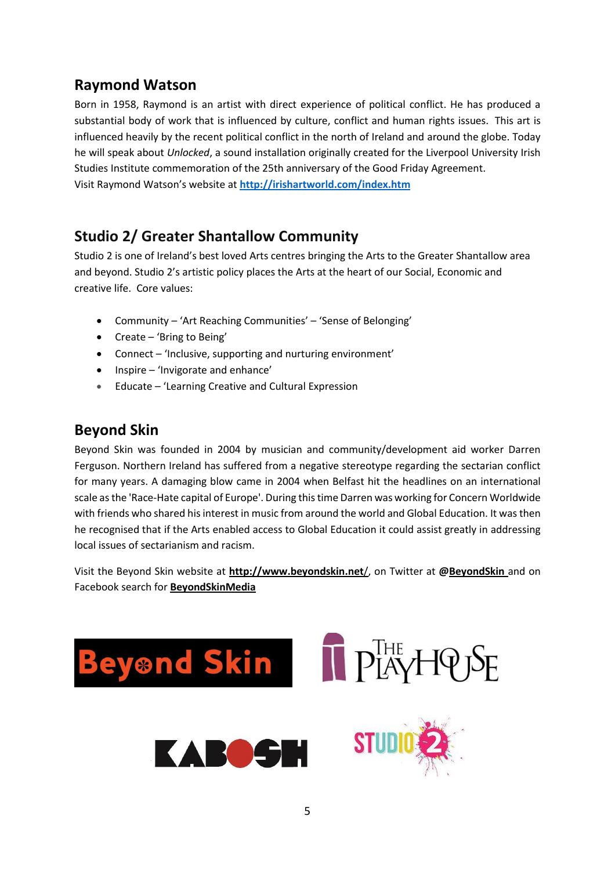## **Raymond Watson**

Born in 1958, Raymond is an artist with direct experience of political conflict. He has produced a substantial body of work that is influenced by culture, conflict and human rights issues. This art is influenced heavily by the recent political conflict in the north of Ireland and around the globe. Today he will speak about *Unlocked*, a sound installation originally created for the Liverpool University Irish Studies Institute commemoration of the 25th anniversary of the Good Friday Agreement. Visit Raymond Watson's website at **<http://irishartworld.com/index.htm>**

### **Studio 2/ Greater Shantallow Community**

Studio 2 is one of Ireland's best loved Arts centres bringing the Arts to the Greater Shantallow area and beyond. Studio 2's artistic policy places the Arts at the heart of our Social, Economic and creative life. Core values:

- Community 'Art Reaching Communities' 'Sense of Belonging'
- Create 'Bring to Being'
- Connect 'Inclusive, supporting and nurturing environment'
- Inspire 'Invigorate and enhance'
- Educate 'Learning Creative and Cultural Expression

### **Beyond Skin**

Beyond Skin was founded in 2004 by musician and community/development aid worker Darren Ferguson. Northern Ireland has suffered from a negative stereotype regarding the sectarian conflict for many years. A damaging blow came in 2004 when Belfast hit the headlines on an international scale as the 'Race-Hate capital of Europe'. During this time Darren was working for Concern Worldwide with friends who shared his interest in music from around the world and Global Education. It was then he recognised that if the Arts enabled access to Global Education it could assist greatly in addressing local issues of sectarianism and racism.

Visit the Beyond Skin website at **[http://www.beyondskin.net](http://www.beyondskin.net/)**/, on Twitter at **[@BeyondSkin](https://twitter.com/BeyondSkin)** and on Facebook search for **[BeyondSkinMedia](https://www.facebook.com/BeyondSkinMedia/)**

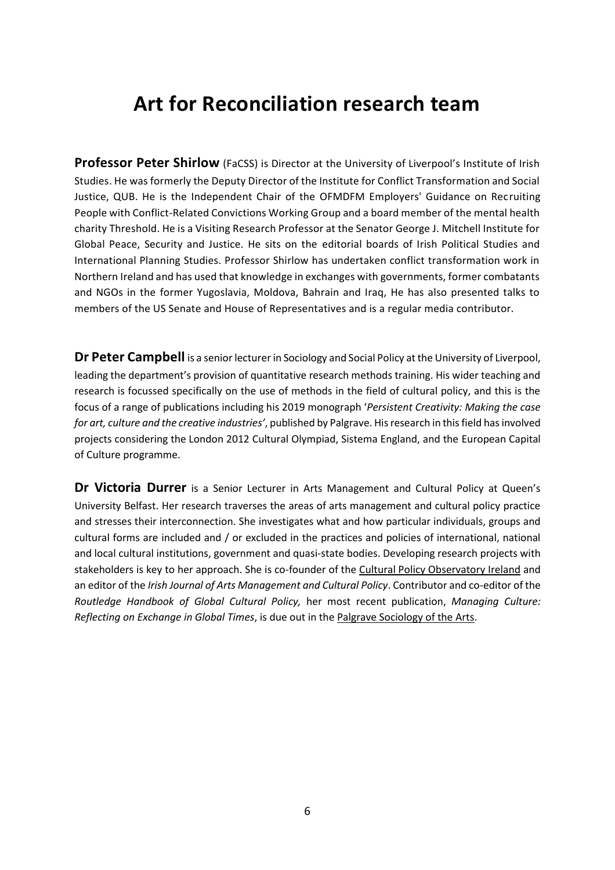# **Art for Reconciliation research team**

Professor Peter Shirlow (FaCSS) is Director at the University of Liverpool's Institute of Irish Studies. He was formerly the Deputy Director of the Institute for Conflict Transformation and Social Justice, QUB. He is the Independent Chair of the OFMDFM Employers' Guidance on Recruiting People with Conflict-Related Convictions Working Group and a board member of the mental health charity Threshold. He is a Visiting Research Professor at the Senator George J. Mitchell Institute for Global Peace, Security and Justice. He sits on the editorial boards of Irish Political Studies and International Planning Studies. Professor Shirlow has undertaken conflict transformation work in Northern Ireland and has used that knowledge in exchanges with governments, former combatants and NGOs in the former Yugoslavia, Moldova, Bahrain and Iraq, He has also presented talks to members of the US Senate and House of Representatives and is a regular media contributor.

**Dr Peter Campbell** is a senior lecturer in Sociology and Social Policy at the University of Liverpool, leading the department's provision of quantitative research methods training. His wider teaching and research is focussed specifically on the use of methods in the field of cultural policy, and this is the focus of a range of publications including his 2019 monograph '*Persistent Creativity: Making the case for art, culture and the creative industries'*, published by Palgrave. His research in this field has involved projects considering the London 2012 Cultural Olympiad, Sistema England, and the European Capital of Culture programme.

**Dr Victoria Durrer** is a Senior Lecturer in Arts Management and Cultural Policy at Queen's University Belfast. Her research traverses the areas of arts management and cultural policy practice and stresses their interconnection. She investigates what and how particular individuals, groups and cultural forms are included and / or excluded in the practices and policies of international, national and local cultural institutions, government and quasi-state bodies. Developing research projects with stakeholders is key to her approach. She is co-founder of the [Cultural Policy Observatory Ireland](http://www.culturalpolicyireland.org/) and an editor of the *Irish Journal of Arts Management and Cultural Policy*. Contributor and co-editor of the *Routledge Handbook of Global Cultural Policy,* her most recent publication, *Managing Culture: Reflecting on Exchange in Global Times*, is due out in the [Palgrave Sociology of the Arts.](https://www.palgrave.com/gp/series/15469)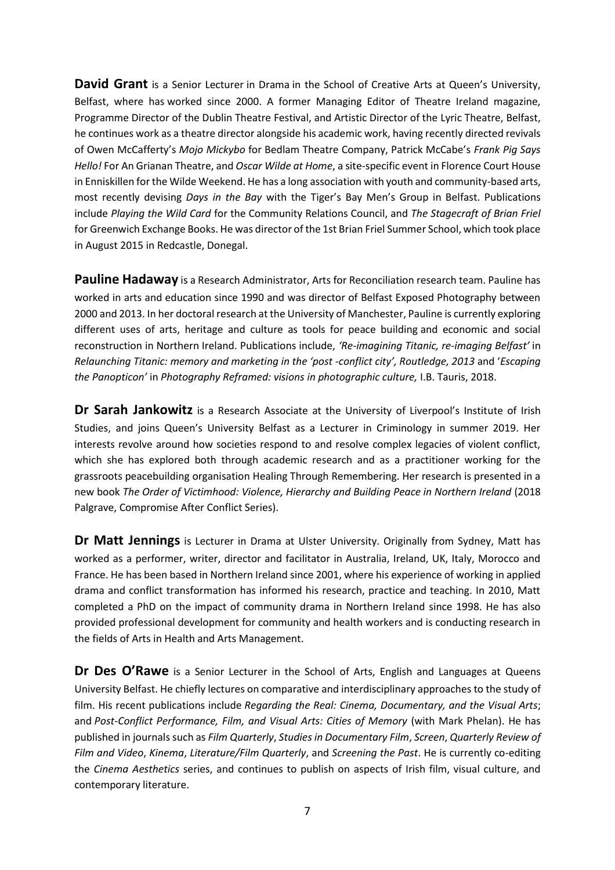**David Grant** is a Senior Lecturer in Drama in the School of Creative Arts at Queen's University, Belfast, where has worked since 2000. A former Managing Editor of Theatre Ireland magazine, Programme Director of the Dublin Theatre Festival, and Artistic Director of the Lyric Theatre, Belfast, he continues work as a theatre director alongside his academic work, having recently directed revivals of Owen McCafferty's *Mojo Mickybo* for Bedlam Theatre Company, Patrick McCabe's *Frank Pig Says Hello!* For An Grianan Theatre, and *Oscar Wilde at Home*, a site-specific event in Florence Court House in Enniskillen for the Wilde Weekend. He has a long association with youth and community-based arts, most recently devising *Days in the Bay* with the Tiger's Bay Men's Group in Belfast. Publications include *Playing the Wild Card* for the Community Relations Council, and *The Stagecraft of Brian Friel* for Greenwich Exchange Books. He was director of the 1st Brian Friel Summer School, which took place in August 2015 in Redcastle, Donegal.

**Pauline Hadaway** is a Research Administrator, Arts for Reconciliation research team. Pauline has worked in arts and education since 1990 and was director of Belfast Exposed Photography between 2000 and 2013. In her doctoral research at the University of Manchester, Pauline is currently exploring different uses of arts, heritage and culture as tools for peace building and economic and social reconstruction in Northern Ireland. Publications include, *'Re-imagining Titanic, re-imaging Belfast'* in *Relaunching Titanic: memory and marketing in the 'post -conflict city', Routledge, 2013* and '*Escaping the Panopticon'* in *Photography Reframed: visions in photographic culture,* I.B. Tauris, 2018.

**Dr Sarah Jankowitz** is a Research Associate at the University of Liverpool's Institute of Irish Studies, and joins Queen's University Belfast as a Lecturer in Criminology in summer 2019. Her interests revolve around how societies respond to and resolve complex legacies of violent conflict, which she has explored both through academic research and as a practitioner working for the grassroots peacebuilding organisation Healing Through Remembering. Her research is presented in a new book *The Order of Victimhood: Violence, Hierarchy and Building Peace in Northern Ireland* (2018 Palgrave, Compromise After Conflict Series).

**Dr Matt Jennings** is Lecturer in Drama at Ulster University. Originally from Sydney, Matt has worked as a performer, writer, director and facilitator in Australia, Ireland, UK, Italy, Morocco and France. He has been based in Northern Ireland since 2001, where his experience of working in applied drama and conflict transformation has informed his research, practice and teaching. In 2010, Matt completed a PhD on the impact of community drama in Northern Ireland since 1998. He has also provided professional development for community and health workers and is conducting research in the fields of Arts in Health and Arts Management.

**Dr Des O'Rawe** is a Senior Lecturer in the School of Arts, English and Languages at Queens University Belfast. He chiefly lectures on comparative and interdisciplinary approaches to the study of film. His recent publications include *[Regarding the Real: Cinema, Documentary, and the Visual Arts](http://www.manchesteruniversitypress.co.uk/cgi-bin/indexer?product=9780719099663)*; and *[Post-Conflict Performance, Film, and Visual Arts: Cities of Memory](http://www.palgrave.com/us/book/9781137439543#aboutBook)* (with Mark Phelan). He has published in journals such as *Film Quarterly*, *Studies in Documentary Film*, *Screen*, *Quarterly Review of Film and Video*, *Kinema*, *Literature/Film Quarterly*, and *Screening the Past*. He is currently co-editing the *Cinema Aesthetics* series, and continues to publish on aspects of Irish film, visual culture, and contemporary literature.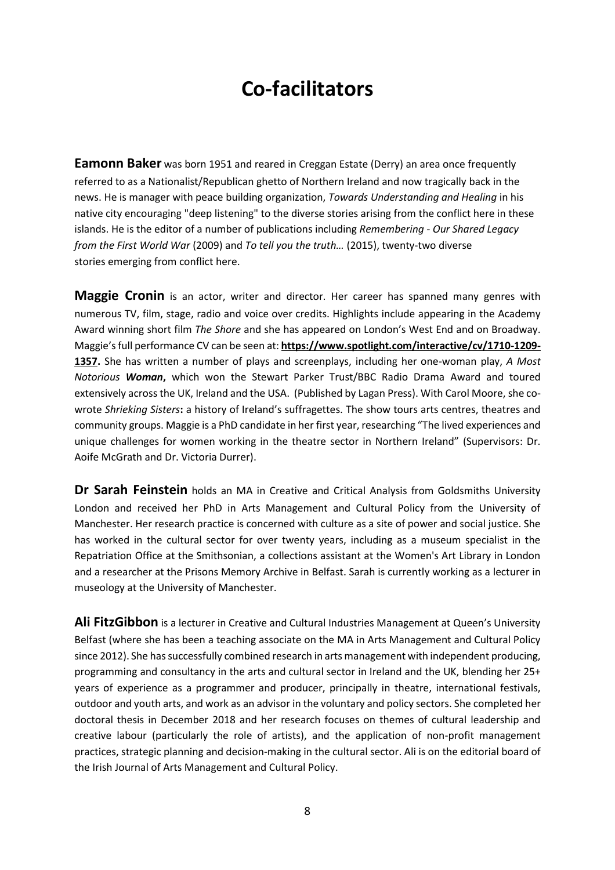# **Co-facilitators**

**Eamonn Baker** was born 1951 and reared in Creggan Estate (Derry) an area once frequently referred to as a Nationalist/Republican ghetto of Northern Ireland and now tragically back in the news. He is manager with peace building organization, *Towards Understanding and Healing* in his native city encouraging "deep listening" to the diverse stories arising from the conflict here in these islands. He is the editor of a number of publications including *Remembering - Our Shared Legacy from the First World War* (2009) and *To tell you the truth…* (2015), twenty-two diverse stories emerging from conflict here.

**Maggie Cronin** is an actor, writer and director. Her career has spanned many genres with numerous TV, film, stage, radio and voice over credits. Highlights include appearing in the Academy Award winning short film *The Shore* and she has appeared on London's West End and on Broadway. Maggie's full performance CV can be seen at: **[https://www.spotlight.com/interactive/cv/1710-1209-](https://www.spotlight.com/interactive/cv/1710-1209-1357) [1357.](https://www.spotlight.com/interactive/cv/1710-1209-1357)** She has written a number of plays and screenplays, including her one-woman play, *A Most Notorious Woman***,** which won the Stewart Parker Trust/BBC Radio Drama Award and toured extensively across the UK, Ireland and the USA. (Published by Lagan Press). With Carol Moore, she cowrote *Shrieking Sisters***:** a history of Ireland's suffragettes. The show tours arts centres, theatres and community groups. Maggie is a PhD candidate in her first year, researching "The lived experiences and unique challenges for women working in the theatre sector in Northern Ireland" (Supervisors: Dr. Aoife McGrath and Dr. Victoria Durrer).

**Dr Sarah Feinstein** holds an MA in Creative and Critical Analysis from Goldsmiths University London and received her PhD in Arts Management and Cultural Policy from the University of Manchester. Her research practice is concerned with culture as a site of power and social justice. She has worked in the cultural sector for over twenty years, including as a museum specialist in the Repatriation Office at the Smithsonian, a collections assistant at the Women's Art Library in London and a researcher at the Prisons Memory Archive in Belfast. Sarah is currently working as a lecturer in museology at the University of Manchester.

Ali FitzGibbon is a lecturer in Creative and Cultural Industries Management at Queen's University Belfast (where she has been a teaching associate on the MA in Arts Management and Cultural Policy since 2012). She has successfully combined research in arts management with independent producing, programming and consultancy in the arts and cultural sector in Ireland and the UK, blending her 25+ years of experience as a programmer and producer, principally in theatre, international festivals, outdoor and youth arts, and work as an advisor in the voluntary and policy sectors. She completed her doctoral thesis in December 2018 and her research focuses on themes of cultural leadership and creative labour (particularly the role of artists), and the application of non-profit management practices, strategic planning and decision-making in the cultural sector. Ali is on the editorial board of the Irish Journal of Arts Management and Cultural Policy.